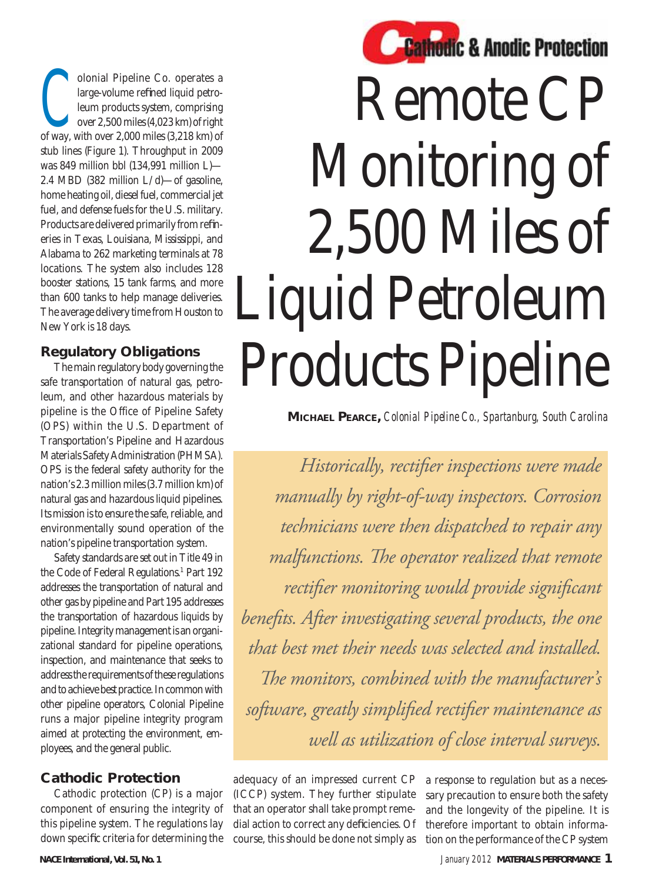olonial Pipeline Co. operates a<br>large-volume refined liquid petro-<br>leum products system, comprising<br>over 2,500 miles (4,023 km) of right<br>of way, with over 2,000 miles (2,218 km) of large-volume refined liquid petroleum products system, comprising over 2,500 miles (4,023 km) of right of way, with over 2,000 miles (3,218 km) of stub lines (Figure 1). Throughput in 2009 was 849 million bbl (134,991 million L)— 2.4 MBD (382 million L/d)—of gasoline, home heating oil, diesel fuel, commercial jet fuel, and defense fuels for the U.S. military. Products are delivered primarily from refineries in Texas, Louisiana, Mississippi, and Alabama to 262 marketing terminals at 78 locations. The system also includes 128 booster stations, 15 tank farms, and more than 600 tanks to help manage deliveries. The average delivery time from Houston to New York is 18 days.

### **Regulatory Obligations**

The main regulatory body governing the safe transportation of natural gas, petroleum, and other hazardous materials by pipeline is the Office of Pipeline Safety (OPS) within the U.S. Department of Transportation's Pipeline and Hazardous Materials Safety Administration (PHMSA). OPS is the federal safety authority for the nation's 2.3 million miles (3.7 million km) of natural gas and hazardous liquid pipelines. Its mission is to ensure the safe, reliable, and environmentally sound operation of the nation's pipeline transportation system.

Safety standards are set out in Title 49 in the Code of Federal Regulations.<sup>1</sup> Part 192 addresses the transportation of natural and other gas by pipeline and Part 195 addresses the transportation of hazardous liquids by pipeline. Integrity management is an organizational standard for pipeline operations, inspection, and maintenance that seeks to address the requirements of these regulations and to achieve best practice. In common with other pipeline operators, Colonial Pipeline runs a major pipeline integrity program aimed at protecting the environment, employees, and the general public.

### **Cathodic Protection**

Cathodic protection (CP) is a major component of ensuring the integrity of this pipeline system. The regulations lay down specific criteria for determining the



# Remote CP Monitoring of 2,500 Miles of Liquid Petroleum Products Pipeline

**MICHAEL PEARCE,** *Colonial Pipeline Co., Spartanburg, South Carolina*

*Historically, rectifier inspections were made manually by right-of-way inspectors. Corrosion technicians were then dispatched to repair any malfunctions. The operator realized that remote* rectifier monitoring would provide significant benefits. After investigating several products, the one *that best met their needs was selected and installed.*  The monitors, combined with the manufacturer's software, greatly simplified rectifier maintenance as *well as utilization of close interval surveys.*

adequacy of an impressed current CP (ICCP) system. They further stipulate that an operator shall take prompt remedial action to correct any deficiencies. Of course, this should be done not simply as

a response to regulation but as a necessary precaution to ensure both the safety and the longevity of the pipeline. It is therefore important to obtain information on the performance of the CP system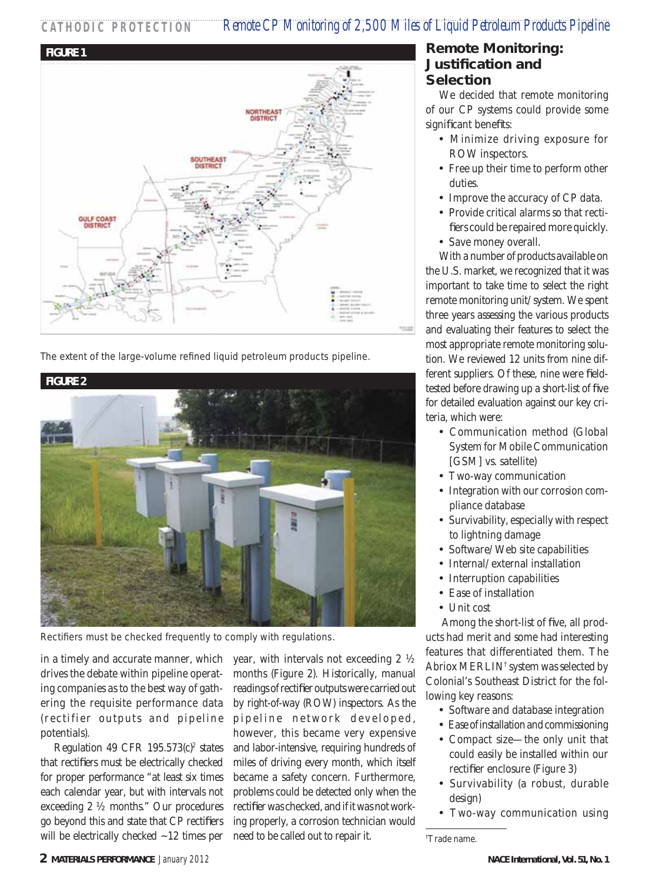## **CATHODIC PROTECTION** *Remote CP Monitoring of 2,500 Miles of Liquid Petroleum Products Pipeline*



The extent of the large-volume refined liquid petroleum products pipeline.



Rectifiers must be checked frequently to comply with regulations.

in a timely and accurate manner, which drives the debate within pipeline operating companies as to the best way of gathering the requisite performance data (rectifier outputs and pipeline potentials).

Regulation 49 CFR  $195.573(c)^2$  states that rectifiers must be electrically checked for proper performance "at least six times each calendar year, but with intervals not exceeding 2 ½ months." Our procedures go beyond this and state that CP rectifiers will be electrically checked  $\sim$ 12 times per

year, with intervals not exceeding 2 ½ months (Figure 2). Historically, manual readings of rectifier outputs were carried out by right-of-way (ROW) inspectors. As the pipeline network developed, however, this became very expensive and labor-intensive, requiring hundreds of miles of driving every month, which itself became a safety concern. Furthermore, problems could be detected only when the rectifier was checked, and if it was not working properly, a corrosion technician would need to be called out to repair it.

#### **Remote Monitoring: Justification and Selection**

We decided that remote monitoring of our CP systems could provide some significant benefits:

- Minimize driving exposure for ROW inspectors.
- Free up their time to perform other duties.
- Improve the accuracy of CP data.
- Provide critical alarms so that rectifiers could be repaired more quickly.
- Save money overall.

With a number of products available on the U.S. market, we recognized that it was important to take time to select the right remote monitoring unit/system. We spent three years assessing the various products and evaluating their features to select the most appropriate remote monitoring solution. We reviewed 12 units from nine different suppliers. Of these, nine were fieldtested before drawing up a short-list of five for detailed evaluation against our key criteria, which were:

- Communication method (Global System for Mobile Communication [GSM] vs. satellite)
- Two-way communication
- Integration with our corrosion compliance database
- Survivability, especially with respect to lightning damage
- Software/Web site capabilities
- Internal/external installation
- Interruption capabilities
- Ease of installation
- Unit cost

Among the short-list of five, all products had merit and some had interesting features that differentiated them. The Abriox MERLIN† system was selected by Colonial's Southeast District for the following key reasons:

- Software and database integration
- Ease of installation and commissioning
- Compact size—the only unit that could easily be installed within our rectifier enclosure (Figure 3)
- Survivability (a robust, durable design)
- Two-way communication using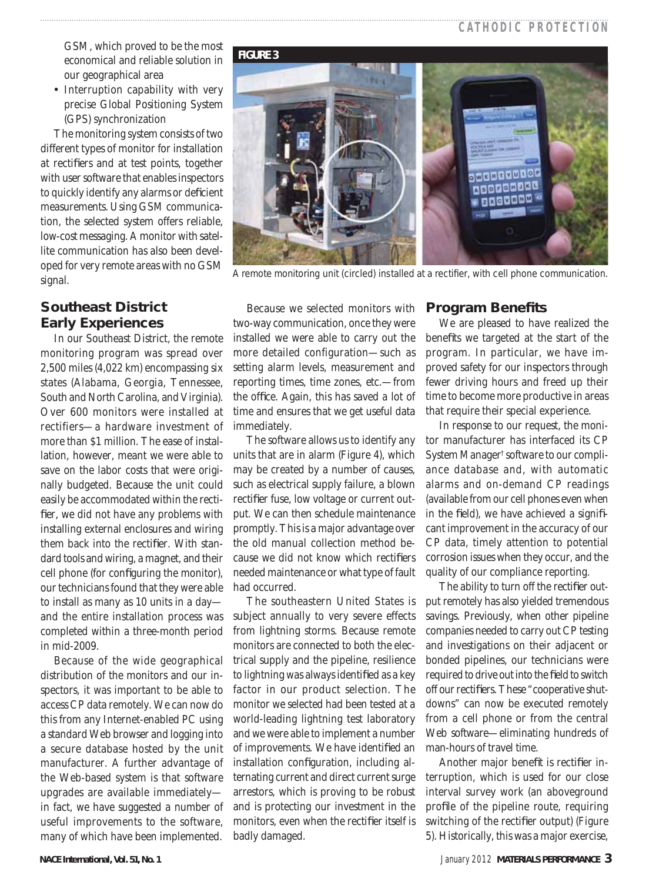## **CATHODIC PROTECTION**

GSM, which proved to be the most economical and reliable solution in our geographical area

• Interruption capability with very precise Global Positioning System (GPS) synchronization

The monitoring system consists of two different types of monitor for installation at rectifiers and at test points, together with user software that enables inspectors to quickly identify any alarms or deficient measurements. Using GSM communication, the selected system offers reliable, low-cost messaging. A monitor with satellite communication has also been developed for very remote areas with no GSM signal.

## **Southeast District Early Experiences**

In our Southeast District, the remote monitoring program was spread over 2,500 miles (4,022 km) encompassing six states (Alabama, Georgia, Tennessee, South and North Carolina, and Virginia). Over 600 monitors were installed at rectifiers—a hardware investment of more than \$1 million. The ease of installation, however, meant we were able to save on the labor costs that were originally budgeted. Because the unit could easily be accommodated within the rectifier, we did not have any problems with installing external enclosures and wiring them back into the rectifier. With standard tools and wiring, a magnet, and their cell phone (for configuring the monitor), our technicians found that they were able to install as many as 10 units in a day and the entire installation process was completed within a three-month period in mid-2009.

Because of the wide geographical distribution of the monitors and our inspectors, it was important to be able to access CP data remotely. We can now do this from any Internet-enabled PC using a standard Web browser and logging into a secure database hosted by the unit manufacturer. A further advantage of the Web-based system is that software upgrades are available immediately in fact, we have suggested a number of useful improvements to the software, many of which have been implemented.

#### **FIGURE 3**



A remote monitoring unit (circled) installed at a rectifier, with cell phone communication.

Because we selected monitors with two-way communication, once they were installed we were able to carry out the more detailed configuration—such as setting alarm levels, measurement and reporting times, time zones, etc.—from the office. Again, this has saved a lot of time and ensures that we get useful data immediately.

The software allows us to identify any units that are in alarm (Figure 4), which may be created by a number of causes, such as electrical supply failure, a blown rectifier fuse, low voltage or current output. We can then schedule maintenance promptly. This is a major advantage over the old manual collection method because we did not know which rectifiers needed maintenance or what type of fault had occurred.

The southeastern United States is subject annually to very severe effects from lightning storms. Because remote monitors are connected to both the electrical supply and the pipeline, resilience to lightning was always identified as a key factor in our product selection. The monitor we selected had been tested at a world-leading lightning test laboratory and we were able to implement a number of improvements. We have identified an installation configuration, including alternating current and direct current surge arrestors, which is proving to be robust and is protecting our investment in the monitors, even when the rectifier itself is badly damaged.

#### **Program Benefits**

We are pleased to have realized the benefits we targeted at the start of the program. In particular, we have improved safety for our inspectors through fewer driving hours and freed up their time to become more productive in areas that require their special experience.

In response to our request, the monitor manufacturer has interfaced its CP System Manager† software to our compliance database and, with automatic alarms and on-demand CP readings (available from our cell phones even when in the field), we have achieved a significant improvement in the accuracy of our CP data, timely attention to potential corrosion issues when they occur, and the quality of our compliance reporting.

The ability to turn off the rectifier output remotely has also yielded tremendous savings. Previously, when other pipeline companies needed to carry out CP testing and investigations on their adjacent or bonded pipelines, our technicians were required to drive out into the field to switch off our rectifiers. These "cooperative shutdowns" can now be executed remotely from a cell phone or from the central Web software—eliminating hundreds of man-hours of travel time.

Another major benefit is rectifier interruption, which is used for our close interval survey work (an aboveground profile of the pipeline route, requiring switching of the rectifier output) (Figure 5). Historically, this was a major exercise,